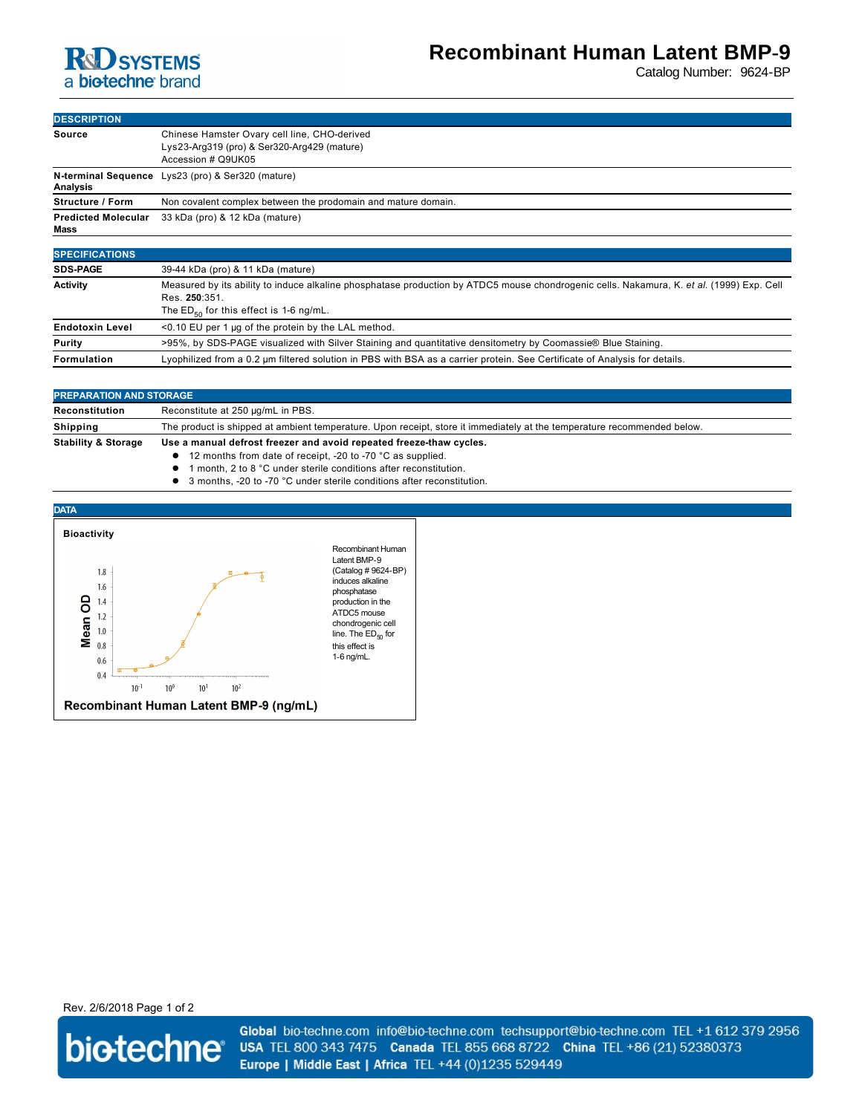## **RD** SYSTEMS a biotechne brand

# **Recombinant Human Latent BMP-9**

Catalog Number: 9624-BP

| <b>DESCRIPTION</b>                 |                                                                                                                   |
|------------------------------------|-------------------------------------------------------------------------------------------------------------------|
| Source                             | Chinese Hamster Ovary cell line, CHO-derived<br>Lys23-Arg319 (pro) & Ser320-Arg429 (mature)<br>Accession # Q9UK05 |
| Analysis                           | N-terminal Sequence Lys23 (pro) & Ser320 (mature)                                                                 |
| <b>Structure / Form</b>            | Non covalent complex between the prodomain and mature domain.                                                     |
| <b>Predicted Molecular</b><br>Mass | 33 kDa (pro) & 12 kDa (mature)                                                                                    |
|                                    |                                                                                                                   |
| <b>SPECIFICATIONS</b>              |                                                                                                                   |
| <b>SDS-PAGE</b>                    | $39-44$ kDa (pro) & 11 kDa (mature)                                                                               |

| <b>Activity</b>        | Measured by its ability to induce alkaline phosphatase production by ATDC5 mouse chondrogenic cells. Nakamura, K. et al. (1999) Exp. Cell |
|------------------------|-------------------------------------------------------------------------------------------------------------------------------------------|
|                        | Res. 250:351.                                                                                                                             |
|                        | The $ED_{50}$ for this effect is 1-6 ng/mL.                                                                                               |
| <b>Endotoxin Level</b> | $\leq$ 0.10 EU per 1 µg of the protein by the LAL method.                                                                                 |
| Purity                 | >95%, by SDS-PAGE visualized with Silver Staining and quantitative densitometry by Coomassie® Blue Staining.                              |
| Formulation            | Lyophilized from a 0.2 um filtered solution in PBS with BSA as a carrier protein. See Certificate of Analysis for details.                |

| <b>PREPARATION AND STORAGE</b> |                                                                                                                         |
|--------------------------------|-------------------------------------------------------------------------------------------------------------------------|
| Reconstitution                 | Reconstitute at 250 µg/mL in PBS.                                                                                       |
| Shipping                       | The product is shipped at ambient temperature. Upon receipt, store it immediately at the temperature recommended below. |
| <b>Stability &amp; Storage</b> | Use a manual defrost freezer and avoid repeated freeze-thaw cycles.                                                     |
|                                | • 12 months from date of receipt, -20 to -70 °C as supplied.                                                            |
|                                | $\bullet$ 1 month $2 \star 0.8$ under sterile conditions ofter reconstitution                                           |

- l 1 month, 2 to 8 °C under sterile conditions after reconstitution.
- **1** 3 months, -20 to -70 °C under sterile conditions after reconstitution.



Rev. 2/6/2018 Page 1 of 2



Global bio-techne.com info@bio-techne.com techsupport@bio-techne.com TEL +1 612 379 2956 USA TEL 800 343 7475 Canada TEL 855 668 8722 China TEL +86 (21) 52380373 Europe | Middle East | Africa TEL +44 (0)1235 529449